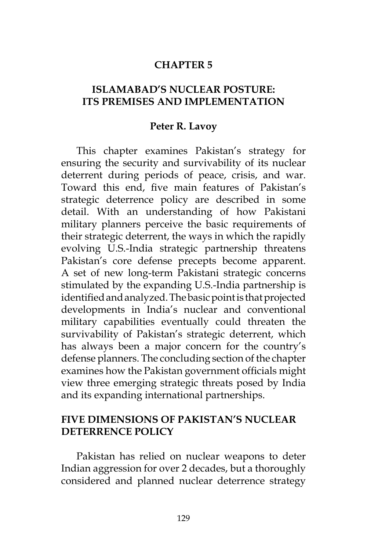#### **CHAPTER 5**

# **ISLAMABAD'S NUCLEAR POSTURE: ITS PREMISES AND IMPLEMENTATION**

#### **Peter R. Lavoy**

This chapter examines Pakistan's strategy for ensuring the security and survivability of its nuclear deterrent during periods of peace, crisis, and war. Toward this end, five main features of Pakistan's strategic deterrence policy are described in some detail. With an understanding of how Pakistani military planners perceive the basic requirements of their strategic deterrent, the ways in which the rapidly evolving U.S.-India strategic partnership threatens Pakistan's core defense precepts become apparent. A set of new long-term Pakistani strategic concerns stimulated by the expanding U.S.-India partnership is identified and analyzed. The basic point is that projected developments in India's nuclear and conventional military capabilities eventually could threaten the survivability of Pakistan's strategic deterrent, which has always been a major concern for the country's defense planners. The concluding section of the chapter examines how the Pakistan government officials might view three emerging strategic threats posed by India and its expanding international partnerships.

### **FIVE DIMENSIONS OF PAKISTAN'S NUCLEAR DETERRENCE POLICY**

Pakistan has relied on nuclear weapons to deter Indian aggression for over 2 decades, but a thoroughly considered and planned nuclear deterrence strategy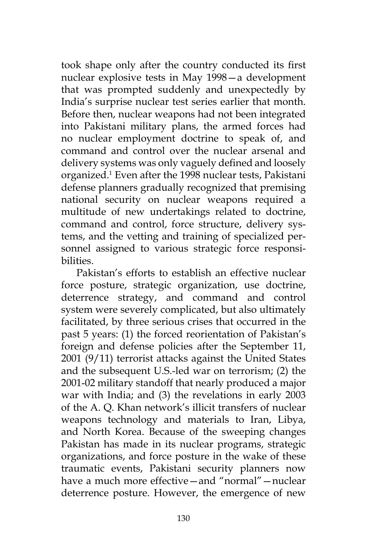took shape only after the country conducted its first nuclear explosive tests in May 1998—a development that was prompted suddenly and unexpectedly by India's surprise nuclear test series earlier that month. Before then, nuclear weapons had not been integrated into Pakistani military plans, the armed forces had no nuclear employment doctrine to speak of, and command and control over the nuclear arsenal and delivery systems was only vaguely defined and loosely organized.1 Even after the 1998 nuclear tests, Pakistani defense planners gradually recognized that premising national security on nuclear weapons required a multitude of new undertakings related to doctrine, command and control, force structure, delivery systems, and the vetting and training of specialized personnel assigned to various strategic force responsibilities.

Pakistan's efforts to establish an effective nuclear force posture, strategic organization, use doctrine, deterrence strategy, and command and control system were severely complicated, but also ultimately facilitated, by three serious crises that occurred in the past 5 years: (1) the forced reorientation of Pakistan's foreign and defense policies after the September 11, 2001 (9/11) terrorist attacks against the United States and the subsequent U.S.-led war on terrorism; (2) the 2001-02 military standoff that nearly produced a major war with India; and (3) the revelations in early 2003 of the A. Q. Khan network's illicit transfers of nuclear weapons technology and materials to Iran, Libya, and North Korea. Because of the sweeping changes Pakistan has made in its nuclear programs, strategic organizations, and force posture in the wake of these traumatic events, Pakistani security planners now have a much more effective—and "normal"—nuclear deterrence posture. However, the emergence of new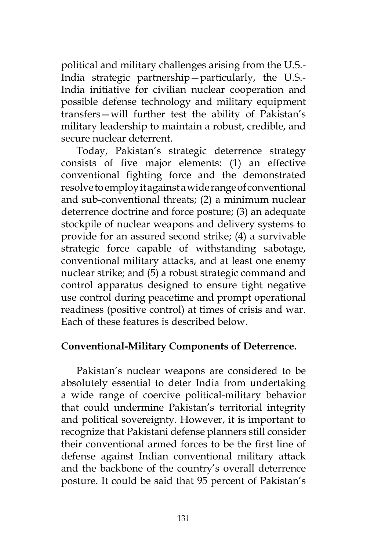political and military challenges arising from the U.S.- India strategic partnership—particularly, the U.S.- India initiative for civilian nuclear cooperation and possible defense technology and military equipment transfers—will further test the ability of Pakistan's military leadership to maintain a robust, credible, and secure nuclear deterrent.

Today, Pakistan's strategic deterrence strategy consists of five major elements: (1) an effective conventional fighting force and the demonstrated resolve to employ it against a wide range of conventional and sub-conventional threats; (2) a minimum nuclear deterrence doctrine and force posture; (3) an adequate stockpile of nuclear weapons and delivery systems to provide for an assured second strike; (4) a survivable strategic force capable of withstanding sabotage, conventional military attacks, and at least one enemy nuclear strike; and (5) a robust strategic command and control apparatus designed to ensure tight negative use control during peacetime and prompt operational readiness (positive control) at times of crisis and war. Each of these features is described below.

### **Conventional-Military Components of Deterrence.**

Pakistan's nuclear weapons are considered to be absolutely essential to deter India from undertaking a wide range of coercive political-military behavior that could undermine Pakistan's territorial integrity and political sovereignty. However, it is important to recognize that Pakistani defense planners still consider their conventional armed forces to be the first line of defense against Indian conventional military attack and the backbone of the country's overall deterrence posture. It could be said that 95 percent of Pakistan's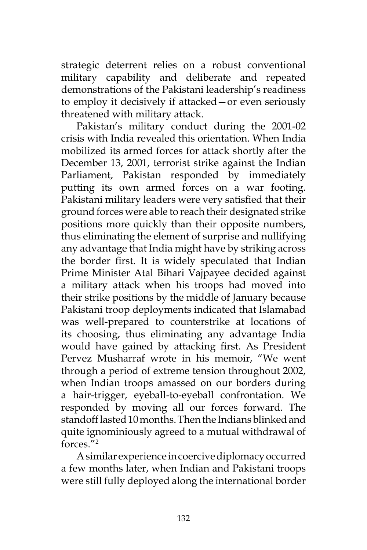strategic deterrent relies on a robust conventional military capability and deliberate and repeated demonstrations of the Pakistani leadership's readiness to employ it decisively if attacked—or even seriously threatened with military attack.

Pakistan's military conduct during the 2001-02 crisis with India revealed this orientation. When India mobilized its armed forces for attack shortly after the December 13, 2001, terrorist strike against the Indian Parliament, Pakistan responded by immediately putting its own armed forces on a war footing. Pakistani military leaders were very satisfied that their ground forces were able to reach their designated strike positions more quickly than their opposite numbers, thus eliminating the element of surprise and nullifying any advantage that India might have by striking across the border first. It is widely speculated that Indian Prime Minister Atal Bihari Vajpayee decided against a military attack when his troops had moved into their strike positions by the middle of January because Pakistani troop deployments indicated that Islamabad was well-prepared to counterstrike at locations of its choosing, thus eliminating any advantage India would have gained by attacking first. As President Pervez Musharraf wrote in his memoir, "We went through a period of extreme tension throughout 2002, when Indian troops amassed on our borders during a hair-trigger, eyeball-to-eyeball confrontation. We responded by moving all our forces forward. The standoff lasted 10 months. Then the Indians blinked and quite ignominiously agreed to a mutual withdrawal of forces."2

A similar experience in coercive diplomacy occurred a few months later, when Indian and Pakistani troops were still fully deployed along the international border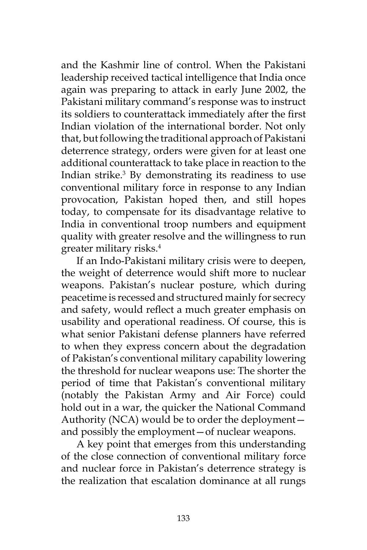and the Kashmir line of control. When the Pakistani leadership received tactical intelligence that India once again was preparing to attack in early June 2002, the Pakistani military command's response was to instruct its soldiers to counterattack immediately after the first Indian violation of the international border. Not only that, but following the traditional approach of Pakistani deterrence strategy, orders were given for at least one additional counterattack to take place in reaction to the Indian strike.<sup>3</sup> By demonstrating its readiness to use conventional military force in response to any Indian provocation, Pakistan hoped then, and still hopes today, to compensate for its disadvantage relative to India in conventional troop numbers and equipment quality with greater resolve and the willingness to run greater military risks.4

If an Indo-Pakistani military crisis were to deepen, the weight of deterrence would shift more to nuclear weapons. Pakistan's nuclear posture, which during peacetime is recessed and structured mainly for secrecy and safety, would reflect a much greater emphasis on usability and operational readiness. Of course, this is what senior Pakistani defense planners have referred to when they express concern about the degradation of Pakistan's conventional military capability lowering the threshold for nuclear weapons use: The shorter the period of time that Pakistan's conventional military (notably the Pakistan Army and Air Force) could hold out in a war, the quicker the National Command Authority (NCA) would be to order the deployment and possibly the employment—of nuclear weapons.

A key point that emerges from this understanding of the close connection of conventional military force and nuclear force in Pakistan's deterrence strategy is the realization that escalation dominance at all rungs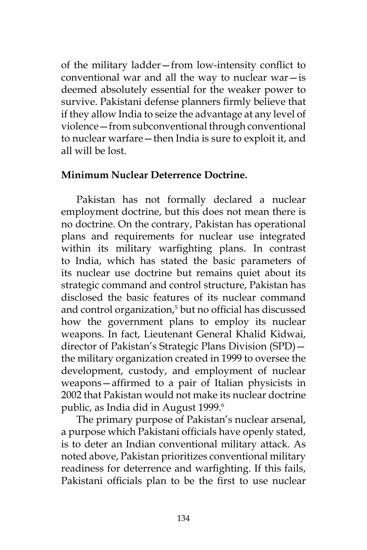of the military ladder—from low-intensity conflict to conventional war and all the way to nuclear war $-$ is deemed absolutely essential for the weaker power to survive. Pakistani defense planners firmly believe that if they allow India to seize the advantage at any level of violence—from subconventional through conventional to nuclear warfare—then India is sure to exploit it, and all will be lost.

#### **Minimum Nuclear Deterrence Doctrine.**

Pakistan has not formally declared a nuclear employment doctrine, but this does not mean there is no doctrine. On the contrary, Pakistan has operational plans and requirements for nuclear use integrated within its military warfighting plans. In contrast to India, which has stated the basic parameters of its nuclear use doctrine but remains quiet about its strategic command and control structure, Pakistan has disclosed the basic features of its nuclear command and control organization,5 but no official has discussed how the government plans to employ its nuclear weapons. In fact, Lieutenant General Khalid Kidwai, director of Pakistan's Strategic Plans Division (SPD) the military organization created in 1999 to oversee the development, custody, and employment of nuclear weapons—affirmed to a pair of Italian physicists in 2002 that Pakistan would not make its nuclear doctrine public, as India did in August 1999.<sup>6</sup>

The primary purpose of Pakistan's nuclear arsenal, a purpose which Pakistani officials have openly stated, is to deter an Indian conventional military attack. As noted above, Pakistan prioritizes conventional military readiness for deterrence and warfighting. If this fails, Pakistani officials plan to be the first to use nuclear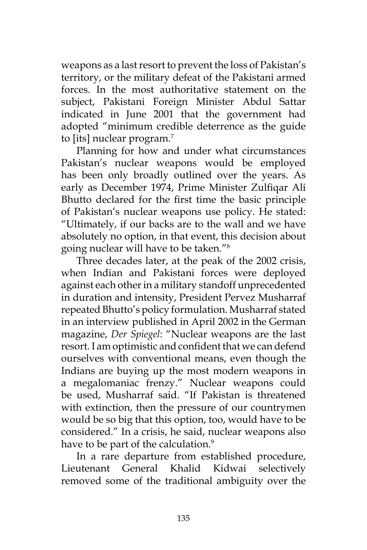weapons as a last resort to prevent the loss of Pakistan's territory, or the military defeat of the Pakistani armed forces. In the most authoritative statement on the subject, Pakistani Foreign Minister Abdul Sattar indicated in June 2001 that the government had adopted "minimum credible deterrence as the guide to [its] nuclear program.<sup>7</sup>

Planning for how and under what circumstances Pakistan's nuclear weapons would be employed has been only broadly outlined over the years. As early as December 1974, Prime Minister Zulfiqar Ali Bhutto declared for the first time the basic principle of Pakistan's nuclear weapons use policy. He stated: "Ultimately, if our backs are to the wall and we have absolutely no option, in that event, this decision about going nuclear will have to be taken."8

Three decades later, at the peak of the 2002 crisis, when Indian and Pakistani forces were deployed against each other in a military standoff unprecedented in duration and intensity, President Pervez Musharraf repeated Bhutto's policy formulation. Musharraf stated in an interview published in April 2002 in the German magazine, *Der Spiegel*: "Nuclear weapons are the last resort. I am optimistic and confident that we can defend ourselves with conventional means, even though the Indians are buying up the most modern weapons in a megalomaniac frenzy." Nuclear weapons could be used, Musharraf said. "If Pakistan is threatened with extinction, then the pressure of our countrymen would be so big that this option, too, would have to be considered." In a crisis, he said, nuclear weapons also have to be part of the calculation.<sup>9</sup>

In a rare departure from established procedure, Lieutenant General Khalid Kidwai selectively removed some of the traditional ambiguity over the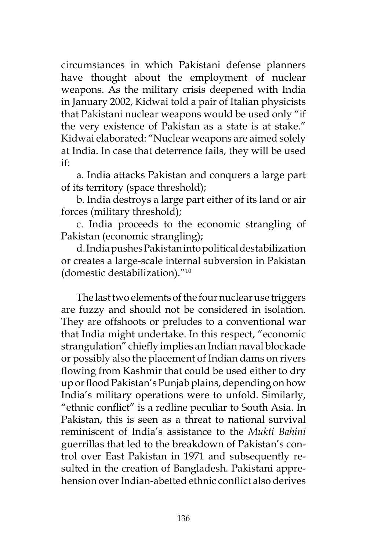circumstances in which Pakistani defense planners have thought about the employment of nuclear weapons. As the military crisis deepened with India in January 2002, Kidwai told a pair of Italian physicists that Pakistani nuclear weapons would be used only "if the very existence of Pakistan as a state is at stake." Kidwai elaborated: "Nuclear weapons are aimed solely at India. In case that deterrence fails, they will be used if:

a. India attacks Pakistan and conquers a large part of its territory (space threshold);

b. India destroys a large part either of its land or air forces (military threshold);

c. India proceeds to the economic strangling of Pakistan (economic strangling);

d. India pushes Pakistan into political destabilization or creates a large-scale internal subversion in Pakistan (domestic destabilization)."10

The last two elements of the four nuclear use triggers are fuzzy and should not be considered in isolation. They are offshoots or preludes to a conventional war that India might undertake. In this respect, "economic strangulation" chiefly implies an Indian naval blockade or possibly also the placement of Indian dams on rivers flowing from Kashmir that could be used either to dry up or flood Pakistan's Punjab plains, depending on how India's military operations were to unfold. Similarly, "ethnic conflict" is a redline peculiar to South Asia. In Pakistan, this is seen as a threat to national survival reminiscent of India's assistance to the *Mukti Bahini* guerrillas that led to the breakdown of Pakistan's control over East Pakistan in 1971 and subsequently resulted in the creation of Bangladesh. Pakistani apprehension over Indian-abetted ethnic conflict also derives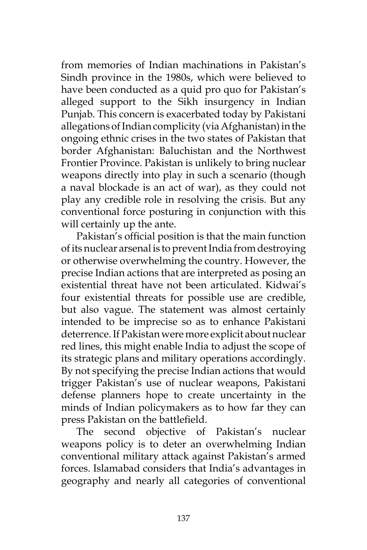from memories of Indian machinations in Pakistan's Sindh province in the 1980s, which were believed to have been conducted as a quid pro quo for Pakistan's alleged support to the Sikh insurgency in Indian Punjab. This concern is exacerbated today by Pakistani allegations of Indian complicity (via Afghanistan) in the ongoing ethnic crises in the two states of Pakistan that border Afghanistan: Baluchistan and the Northwest Frontier Province. Pakistan is unlikely to bring nuclear weapons directly into play in such a scenario (though a naval blockade is an act of war), as they could not play any credible role in resolving the crisis. But any conventional force posturing in conjunction with this will certainly up the ante.

Pakistan's official position is that the main function of its nuclear arsenal is to prevent India from destroying or otherwise overwhelming the country. However, the precise Indian actions that are interpreted as posing an existential threat have not been articulated. Kidwai's four existential threats for possible use are credible, but also vague. The statement was almost certainly intended to be imprecise so as to enhance Pakistani deterrence. If Pakistan were more explicit about nuclear red lines, this might enable India to adjust the scope of its strategic plans and military operations accordingly. By not specifying the precise Indian actions that would trigger Pakistan's use of nuclear weapons, Pakistani defense planners hope to create uncertainty in the minds of Indian policymakers as to how far they can press Pakistan on the battlefield.

The second objective of Pakistan's nuclear weapons policy is to deter an overwhelming Indian conventional military attack against Pakistan's armed forces. Islamabad considers that India's advantages in geography and nearly all categories of conventional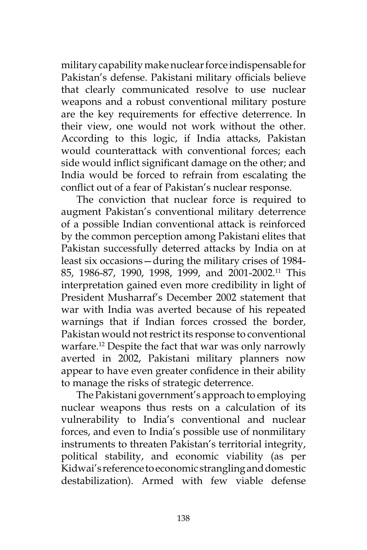military capability make nuclear force indispensable for Pakistan's defense. Pakistani military officials believe that clearly communicated resolve to use nuclear weapons and a robust conventional military posture are the key requirements for effective deterrence. In their view, one would not work without the other. According to this logic, if India attacks, Pakistan would counterattack with conventional forces; each side would inflict significant damage on the other; and India would be forced to refrain from escalating the conflict out of a fear of Pakistan's nuclear response.

The conviction that nuclear force is required to augment Pakistan's conventional military deterrence of a possible Indian conventional attack is reinforced by the common perception among Pakistani elites that Pakistan successfully deterred attacks by India on at least six occasions—during the military crises of 1984- 85, 1986-87, 1990, 1998, 1999, and 2001-2002.11 This interpretation gained even more credibility in light of President Musharraf's December 2002 statement that war with India was averted because of his repeated warnings that if Indian forces crossed the border, Pakistan would not restrict its response to conventional warfare.<sup>12</sup> Despite the fact that war was only narrowly averted in 2002, Pakistani military planners now appear to have even greater confidence in their ability to manage the risks of strategic deterrence.

The Pakistani government's approach to employing nuclear weapons thus rests on a calculation of its vulnerability to India's conventional and nuclear forces, and even to India's possible use of nonmilitary instruments to threaten Pakistan's territorial integrity, political stability, and economic viability (as per Kidwai's reference to economic strangling and domestic destabilization). Armed with few viable defense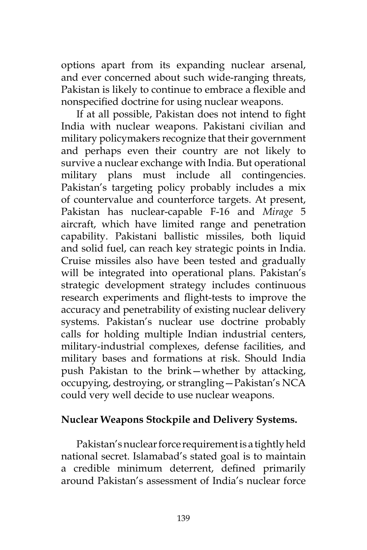options apart from its expanding nuclear arsenal, and ever concerned about such wide-ranging threats, Pakistan is likely to continue to embrace a flexible and nonspecified doctrine for using nuclear weapons.

If at all possible, Pakistan does not intend to fight India with nuclear weapons. Pakistani civilian and military policymakers recognize that their government and perhaps even their country are not likely to survive a nuclear exchange with India. But operational military plans must include all contingencies. Pakistan's targeting policy probably includes a mix of countervalue and counterforce targets. At present, Pakistan has nuclear-capable F-16 and *Mirage* 5 aircraft, which have limited range and penetration capability. Pakistani ballistic missiles, both liquid and solid fuel, can reach key strategic points in India. Cruise missiles also have been tested and gradually will be integrated into operational plans. Pakistan's strategic development strategy includes continuous research experiments and flight-tests to improve the accuracy and penetrability of existing nuclear delivery systems. Pakistan's nuclear use doctrine probably calls for holding multiple Indian industrial centers, military-industrial complexes, defense facilities, and military bases and formations at risk. Should India push Pakistan to the brink—whether by attacking, occupying, destroying, or strangling—Pakistan's NCA could very well decide to use nuclear weapons.

# **Nuclear Weapons Stockpile and Delivery Systems.**

Pakistan's nuclear force requirement is a tightly held national secret. Islamabad's stated goal is to maintain a credible minimum deterrent, defined primarily around Pakistan's assessment of India's nuclear force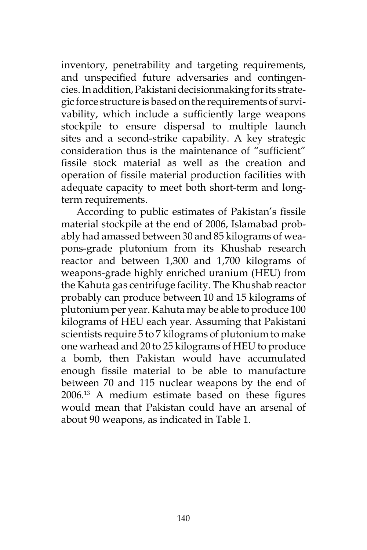inventory, penetrability and targeting requirements, and unspecified future adversaries and contingencies. In addition, Pakistani decisionmaking for its strategic force structure is based on the requirements of survivability, which include a sufficiently large weapons stockpile to ensure dispersal to multiple launch sites and a second-strike capability. A key strategic consideration thus is the maintenance of "sufficient" fissile stock material as well as the creation and operation of fissile material production facilities with adequate capacity to meet both short-term and longterm requirements.

According to public estimates of Pakistan's fissile material stockpile at the end of 2006, Islamabad probably had amassed between 30 and 85 kilograms of weapons-grade plutonium from its Khushab research reactor and between 1,300 and 1,700 kilograms of weapons-grade highly enriched uranium (HEU) from the Kahuta gas centrifuge facility. The Khushab reactor probably can produce between 10 and 15 kilograms of plutonium per year. Kahuta may be able to produce 100 kilograms of HEU each year. Assuming that Pakistani scientists require 5 to 7 kilograms of plutonium to make one warhead and 20 to 25 kilograms of HEU to produce a bomb, then Pakistan would have accumulated enough fissile material to be able to manufacture between 70 and 115 nuclear weapons by the end of 2006.13 A medium estimate based on these figures would mean that Pakistan could have an arsenal of about 90 weapons, as indicated in Table 1.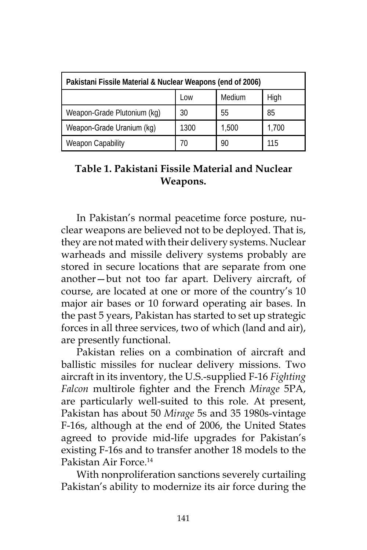| Pakistani Fissile Material & Nuclear Weapons (end of 2006) |      |        |       |  |
|------------------------------------------------------------|------|--------|-------|--|
|                                                            | Low  | Medium | High  |  |
| Weapon-Grade Plutonium (kg)                                | 30   | 55     | 85    |  |
| Weapon-Grade Uranium (kg)                                  | 1300 | 1,500  | 1,700 |  |
| <b>Weapon Capability</b>                                   | 70   | 90     | 11.5  |  |

# **Table 1. Pakistani Fissile Material and Nuclear Weapons.**

In Pakistan's normal peacetime force posture, nuclear weapons are believed not to be deployed. That is, they are not mated with their delivery systems. Nuclear warheads and missile delivery systems probably are stored in secure locations that are separate from one another—but not too far apart. Delivery aircraft, of course, are located at one or more of the country's 10 major air bases or 10 forward operating air bases. In the past 5 years, Pakistan has started to set up strategic forces in all three services, two of which (land and air), are presently functional.

Pakistan relies on a combination of aircraft and ballistic missiles for nuclear delivery missions. Two aircraft in its inventory, the U.S.-supplied F-16 *Fighting Falcon* multirole fighter and the French *Mirage* 5PA, are particularly well-suited to this role. At present, Pakistan has about 50 *Mirage* 5s and 35 1980s-vintage F-16s, although at the end of 2006, the United States agreed to provide mid-life upgrades for Pakistan's existing F-16s and to transfer another 18 models to the Pakistan Air Force.<sup>14</sup>

With nonproliferation sanctions severely curtailing Pakistan's ability to modernize its air force during the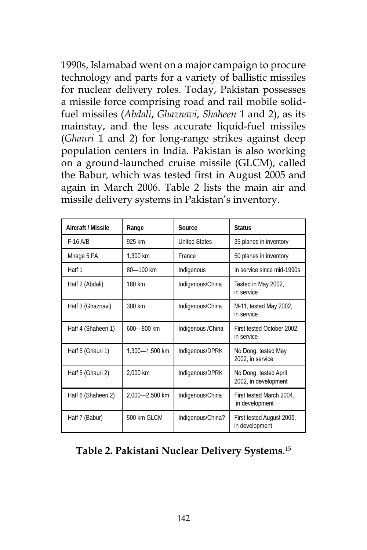1990s, Islamabad went on a major campaign to procure technology and parts for a variety of ballistic missiles for nuclear delivery roles. Today, Pakistan possesses a missile force comprising road and rail mobile solidfuel missiles (*Abdali*, *Ghaznavi*, *Shaheen* 1 and 2), as its mainstay, and the less accurate liquid-fuel missiles (*Ghauri* 1 and 2) for long-range strikes against deep population centers in India. Pakistan is also working on a ground-launched cruise missile (GLCM), called the Babur, which was tested first in August 2005 and again in March 2006. Table 2 lists the main air and missile delivery systems in Pakistan's inventory.

| Aircraft / Missile | Range          | Source               | <b>Status</b>                                 |
|--------------------|----------------|----------------------|-----------------------------------------------|
| $F-16$ A/B         | 925 km         | <b>United States</b> | 35 planes in inventory                        |
| Mirage 5 PA        | 1,300 km       | France               | 50 planes in inventory                        |
| Hatf 1             | 80-100 km      | Indigenous           | In service since mid-1990s                    |
| Hatf 2 (Abdali)    | 180 km         | Indigenous/China     | Tested in May 2002,<br>in service             |
| Hatf 3 (Ghaznavi)  | 300 km         | Indigenous/China     | M-11, tested May 2002,<br>in service          |
| Hatf 4 (Shaheen 1) | 600-800 km     | Indigenous / China   | First tested October 2002.<br>in service      |
| Hatf 5 (Ghauri 1)  | 1,300-1,500 km | Indigenous/DPRK      | No Dong, tested May<br>2002, in service       |
| Hatf 5 (Ghauri 2)  | 2,000 km       | Indigenous/DPRK      | No Dong, tested April<br>2002, in development |
| Hatf 6 (Shaheen 2) | 2,000-2,500 km | Indigenous/China     | First tested March 2004,<br>in development    |
| Hatf 7 (Babur)     | 500 km GLCM    | Indigenous/China?    | First tested August 2005,<br>in development   |

# **Table 2. Pakistani Nuclear Delivery Systems**. 15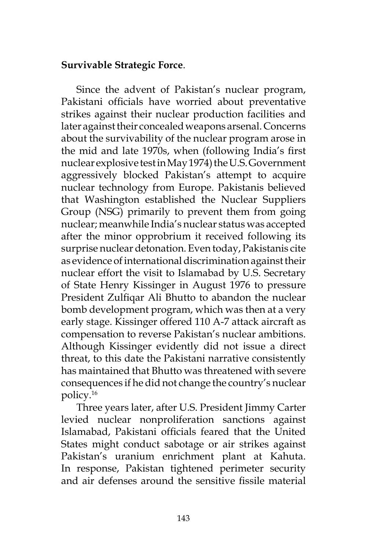# **Survivable Strategic Force**.

Since the advent of Pakistan's nuclear program, Pakistani officials have worried about preventative strikes against their nuclear production facilities and later against their concealed weapons arsenal. Concerns about the survivability of the nuclear program arose in the mid and late 1970s, when (following India's first nuclear explosive test in May 1974) the U.S. Government aggressively blocked Pakistan's attempt to acquire nuclear technology from Europe. Pakistanis believed that Washington established the Nuclear Suppliers Group (NSG) primarily to prevent them from going nuclear; meanwhile India's nuclear status was accepted after the minor opprobrium it received following its surprise nuclear detonation. Even today, Pakistanis cite as evidence of international discrimination against their nuclear effort the visit to Islamabad by U.S. Secretary of State Henry Kissinger in August 1976 to pressure President Zulfiqar Ali Bhutto to abandon the nuclear bomb development program, which was then at a very early stage. Kissinger offered 110 A-7 attack aircraft as compensation to reverse Pakistan's nuclear ambitions. Although Kissinger evidently did not issue a direct threat, to this date the Pakistani narrative consistently has maintained that Bhutto was threatened with severe consequences if he did not change the country's nuclear policy.16

Three years later, after U.S. President Jimmy Carter levied nuclear nonproliferation sanctions against Islamabad, Pakistani officials feared that the United States might conduct sabotage or air strikes against Pakistan's uranium enrichment plant at Kahuta. In response, Pakistan tightened perimeter security and air defenses around the sensitive fissile material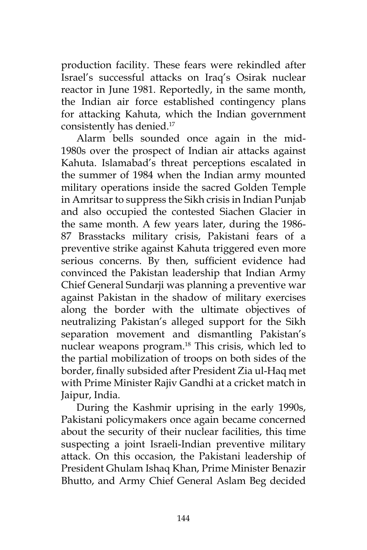production facility. These fears were rekindled after Israel's successful attacks on Iraq's Osirak nuclear reactor in June 1981. Reportedly, in the same month, the Indian air force established contingency plans for attacking Kahuta, which the Indian government consistently has denied.<sup>17</sup>

Alarm bells sounded once again in the mid-1980s over the prospect of Indian air attacks against Kahuta. Islamabad's threat perceptions escalated in the summer of 1984 when the Indian army mounted military operations inside the sacred Golden Temple in Amritsar to suppress the Sikh crisis in Indian Punjab and also occupied the contested Siachen Glacier in the same month. A few years later, during the 1986- 87 Brasstacks military crisis, Pakistani fears of a preventive strike against Kahuta triggered even more serious concerns. By then, sufficient evidence had convinced the Pakistan leadership that Indian Army Chief General Sundarji was planning a preventive war against Pakistan in the shadow of military exercises along the border with the ultimate objectives of neutralizing Pakistan's alleged support for the Sikh separation movement and dismantling Pakistan's nuclear weapons program.<sup>18</sup> This crisis, which led to the partial mobilization of troops on both sides of the border, finally subsided after President Zia ul-Haq met with Prime Minister Rajiv Gandhi at a cricket match in Jaipur, India.

During the Kashmir uprising in the early 1990s, Pakistani policymakers once again became concerned about the security of their nuclear facilities, this time suspecting a joint Israeli-Indian preventive military attack. On this occasion, the Pakistani leadership of President Ghulam Ishaq Khan, Prime Minister Benazir Bhutto, and Army Chief General Aslam Beg decided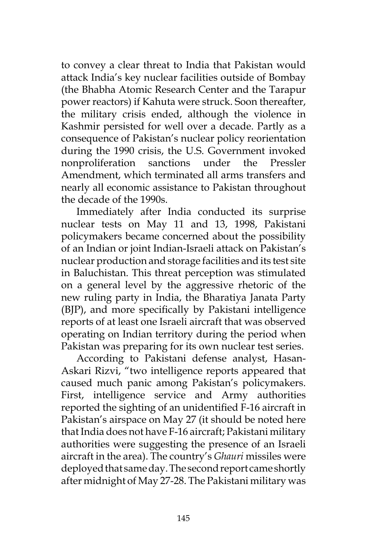to convey a clear threat to India that Pakistan would attack India's key nuclear facilities outside of Bombay (the Bhabha Atomic Research Center and the Tarapur power reactors) if Kahuta were struck. Soon thereafter, the military crisis ended, although the violence in Kashmir persisted for well over a decade. Partly as a consequence of Pakistan's nuclear policy reorientation during the 1990 crisis, the U.S. Government invoked nonproliferation sanctions under the Pressler Amendment, which terminated all arms transfers and nearly all economic assistance to Pakistan throughout the decade of the 1990s.

Immediately after India conducted its surprise nuclear tests on May 11 and 13, 1998, Pakistani policymakers became concerned about the possibility of an Indian or joint Indian-Israeli attack on Pakistan's nuclear production and storage facilities and its test site in Baluchistan. This threat perception was stimulated on a general level by the aggressive rhetoric of the new ruling party in India, the Bharatiya Janata Party (BJP), and more specifically by Pakistani intelligence reports of at least one Israeli aircraft that was observed operating on Indian territory during the period when Pakistan was preparing for its own nuclear test series.

According to Pakistani defense analyst, Hasan-Askari Rizvi, "two intelligence reports appeared that caused much panic among Pakistan's policymakers. First, intelligence service and Army authorities reported the sighting of an unidentified F-16 aircraft in Pakistan's airspace on May 27 (it should be noted here that India does not have F-16 aircraft; Pakistani military authorities were suggesting the presence of an Israeli aircraft in the area). The country's *Ghauri* missiles were deployed that same day. The second report came shortly after midnight of May 27-28. The Pakistani military was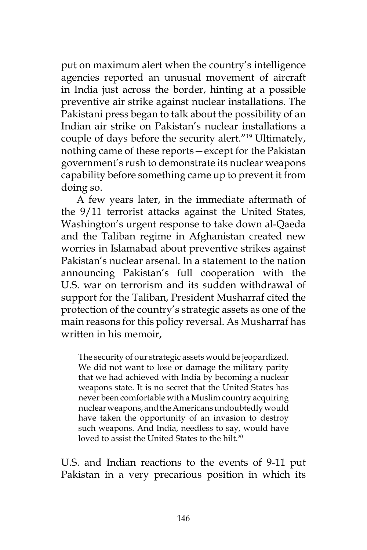put on maximum alert when the country's intelligence agencies reported an unusual movement of aircraft in India just across the border, hinting at a possible preventive air strike against nuclear installations. The Pakistani press began to talk about the possibility of an Indian air strike on Pakistan's nuclear installations a couple of days before the security alert."19 Ultimately, nothing came of these reports—except for the Pakistan government's rush to demonstrate its nuclear weapons capability before something came up to prevent it from doing so.

A few years later, in the immediate aftermath of the 9/11 terrorist attacks against the United States, Washington's urgent response to take down al-Qaeda and the Taliban regime in Afghanistan created new worries in Islamabad about preventive strikes against Pakistan's nuclear arsenal. In a statement to the nation announcing Pakistan's full cooperation with the U.S. war on terrorism and its sudden withdrawal of support for the Taliban, President Musharraf cited the protection of the country's strategic assets as one of the main reasons for this policy reversal. As Musharraf has written in his memoir,

The security of our strategic assets would be jeopardized. We did not want to lose or damage the military parity that we had achieved with India by becoming a nuclear weapons state. It is no secret that the United States has never been comfortable with a Muslim country acquiring nuclear weapons, and the Americans undoubtedly would have taken the opportunity of an invasion to destroy such weapons. And India, needless to say, would have loved to assist the United States to the hilt.<sup>20</sup>

U.S. and Indian reactions to the events of 9-11 put Pakistan in a very precarious position in which its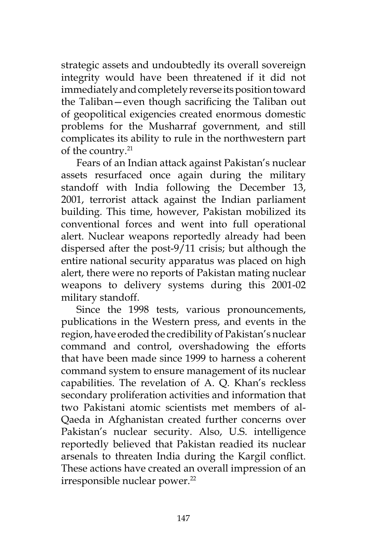strategic assets and undoubtedly its overall sovereign integrity would have been threatened if it did not immediately and completely reverse its position toward the Taliban—even though sacrificing the Taliban out of geopolitical exigencies created enormous domestic problems for the Musharraf government, and still complicates its ability to rule in the northwestern part of the country.<sup>21</sup>

Fears of an Indian attack against Pakistan's nuclear assets resurfaced once again during the military standoff with India following the December 13, 2001, terrorist attack against the Indian parliament building. This time, however, Pakistan mobilized its conventional forces and went into full operational alert. Nuclear weapons reportedly already had been dispersed after the post-9/11 crisis; but although the entire national security apparatus was placed on high alert, there were no reports of Pakistan mating nuclear weapons to delivery systems during this 2001-02 military standoff.

Since the 1998 tests, various pronouncements, publications in the Western press, and events in the region, have eroded the credibility of Pakistan's nuclear command and control, overshadowing the efforts that have been made since 1999 to harness a coherent command system to ensure management of its nuclear capabilities. The revelation of A. Q. Khan's reckless secondary proliferation activities and information that two Pakistani atomic scientists met members of al-Qaeda in Afghanistan created further concerns over Pakistan's nuclear security. Also, U.S. intelligence reportedly believed that Pakistan readied its nuclear arsenals to threaten India during the Kargil conflict. These actions have created an overall impression of an irresponsible nuclear power.<sup>22</sup>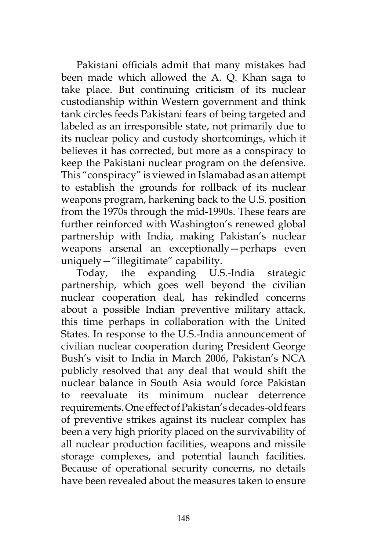Pakistani officials admit that many mistakes had been made which allowed the A. Q. Khan saga to take place. But continuing criticism of its nuclear custodianship within Western government and think tank circles feeds Pakistani fears of being targeted and labeled as an irresponsible state, not primarily due to its nuclear policy and custody shortcomings, which it believes it has corrected, but more as a conspiracy to keep the Pakistani nuclear program on the defensive. This "conspiracy" is viewed in Islamabad as an attempt to establish the grounds for rollback of its nuclear weapons program, harkening back to the U.S. position from the 1970s through the mid-1990s. These fears are further reinforced with Washington's renewed global partnership with India, making Pakistan's nuclear weapons arsenal an exceptionally—perhaps even uniquely—"illegitimate" capability.

Today, the expanding U.S.-India strategic partnership, which goes well beyond the civilian nuclear cooperation deal, has rekindled concerns about a possible Indian preventive military attack, this time perhaps in collaboration with the United States. In response to the U.S.-India announcement of civilian nuclear cooperation during President George Bush's visit to India in March 2006, Pakistan's NCA publicly resolved that any deal that would shift the nuclear balance in South Asia would force Pakistan to reevaluate its minimum nuclear deterrence requirements. One effect of Pakistan's decades-old fears of preventive strikes against its nuclear complex has been a very high priority placed on the survivability of all nuclear production facilities, weapons and missile storage complexes, and potential launch facilities. Because of operational security concerns, no details have been revealed about the measures taken to ensure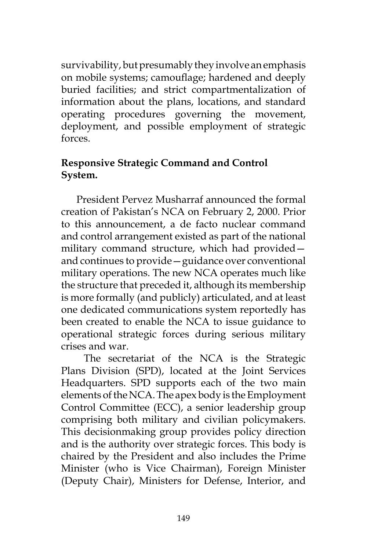survivability, but presumably they involve an emphasis on mobile systems; camouflage; hardened and deeply buried facilities; and strict compartmentalization of information about the plans, locations, and standard operating procedures governing the movement, deployment, and possible employment of strategic forces.

# **Responsive Strategic Command and Control System.**

President Pervez Musharraf announced the formal creation of Pakistan's NCA on February 2, 2000. Prior to this announcement, a de facto nuclear command and control arrangement existed as part of the national military command structure, which had provided and continues to provide—guidance over conventional military operations. The new NCA operates much like the structure that preceded it, although its membership is more formally (and publicly) articulated, and at least one dedicated communications system reportedly has been created to enable the NCA to issue guidance to operational strategic forces during serious military crises and war.

 The secretariat of the NCA is the Strategic Plans Division (SPD), located at the Joint Services Headquarters. SPD supports each of the two main elements of the NCA. The apex body is the Employment Control Committee (ECC), a senior leadership group comprising both military and civilian policymakers. This decisionmaking group provides policy direction and is the authority over strategic forces. This body is chaired by the President and also includes the Prime Minister (who is Vice Chairman), Foreign Minister (Deputy Chair), Ministers for Defense, Interior, and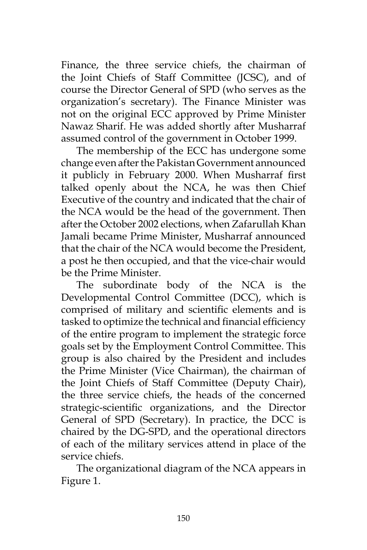Finance, the three service chiefs, the chairman of the Joint Chiefs of Staff Committee (JCSC), and of course the Director General of SPD (who serves as the organization's secretary). The Finance Minister was not on the original ECC approved by Prime Minister Nawaz Sharif. He was added shortly after Musharraf assumed control of the government in October 1999.

The membership of the ECC has undergone some change even after the Pakistan Government announced it publicly in February 2000. When Musharraf first talked openly about the NCA, he was then Chief Executive of the country and indicated that the chair of the NCA would be the head of the government. Then after the October 2002 elections, when Zafarullah Khan Jamali became Prime Minister, Musharraf announced that the chair of the NCA would become the President, a post he then occupied, and that the vice-chair would be the Prime Minister.

The subordinate body of the NCA is the Developmental Control Committee (DCC), which is comprised of military and scientific elements and is tasked to optimize the technical and financial efficiency of the entire program to implement the strategic force goals set by the Employment Control Committee. This group is also chaired by the President and includes the Prime Minister (Vice Chairman), the chairman of the Joint Chiefs of Staff Committee (Deputy Chair), the three service chiefs, the heads of the concerned strategic-scientific organizations, and the Director General of SPD (Secretary). In practice, the DCC is chaired by the DG-SPD, and the operational directors of each of the military services attend in place of the service chiefs.

The organizational diagram of the NCA appears in Figure 1.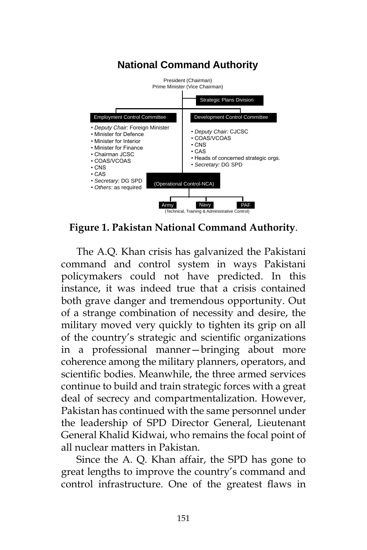#### **National Command Authority** President (Chairman) Prime Minister (Vice Chairman) (Technical, Training & Administrative Control) Strategic Plans Division Employment Control Committee Development Control Committee (Operational Control-NCA) Army Navy PAF • *Deputy Chair:* Foreign Minister • Minister for Defence • Minister for Interior • Minister for Finance • Chairman JCSC • COAS/VCOAS • CNS • CAS • *Secretary:* DG SPD • *Others:* as required • *Deputy Chair:* CJCSC • COAS/VCOAS • CNS • CAS • Heads of concerned strategic orgs. • *Secretary:* DG SPD

**Figure 1. Pakistan National Command Authority**.

The A.Q. Khan crisis has galvanized the Pakistani command and control system in ways Pakistani policymakers could not have predicted. In this instance, it was indeed true that a crisis contained both grave danger and tremendous opportunity. Out of a strange combination of necessity and desire, the military moved very quickly to tighten its grip on all of the country's strategic and scientific organizations in a professional manner—bringing about more coherence among the military planners, operators, and scientific bodies. Meanwhile, the three armed services continue to build and train strategic forces with a great deal of secrecy and compartmentalization. However, Pakistan has continued with the same personnel under the leadership of SPD Director General, Lieutenant General Khalid Kidwai, who remains the focal point of all nuclear matters in Pakistan.

Since the A. Q. Khan affair, the SPD has gone to great lengths to improve the country's command and control infrastructure. One of the greatest flaws in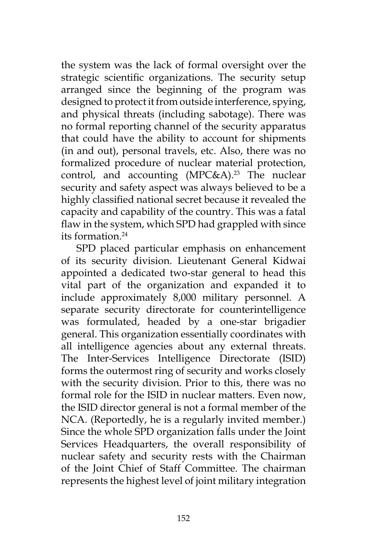the system was the lack of formal oversight over the strategic scientific organizations. The security setup arranged since the beginning of the program was designed to protect it from outside interference, spying, and physical threats (including sabotage). There was no formal reporting channel of the security apparatus that could have the ability to account for shipments (in and out), personal travels, etc. Also, there was no formalized procedure of nuclear material protection, control, and accounting  $(MPC&A)^{23}$  The nuclear security and safety aspect was always believed to be a highly classified national secret because it revealed the capacity and capability of the country. This was a fatal flaw in the system, which SPD had grappled with since its formation  $24$ 

SPD placed particular emphasis on enhancement of its security division. Lieutenant General Kidwai appointed a dedicated two-star general to head this vital part of the organization and expanded it to include approximately 8,000 military personnel. A separate security directorate for counterintelligence was formulated, headed by a one-star brigadier general. This organization essentially coordinates with all intelligence agencies about any external threats. The Inter-Services Intelligence Directorate (ISID) forms the outermost ring of security and works closely with the security division. Prior to this, there was no formal role for the ISID in nuclear matters. Even now, the ISID director general is not a formal member of the NCA. (Reportedly, he is a regularly invited member.) Since the whole SPD organization falls under the Joint Services Headquarters, the overall responsibility of nuclear safety and security rests with the Chairman of the Joint Chief of Staff Committee. The chairman represents the highest level of joint military integration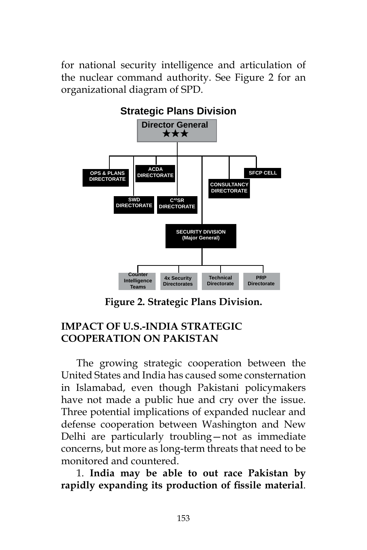for national security intelligence and articulation of the nuclear command authority. See Figure 2 for an organizational diagram of SPD.



**Figure 2. Strategic Plans Division.**

# **IMPACT OF U.S.-INDIA STRATEGIC COOPERATION ON PAKISTAN**

The growing strategic cooperation between the United States and India has caused some consternation in Islamabad, even though Pakistani policymakers have not made a public hue and cry over the issue. Three potential implications of expanded nuclear and defense cooperation between Washington and New Delhi are particularly troubling—not as immediate concerns, but more as long-term threats that need to be monitored and countered.

1. **India may be able to out race Pakistan by rapidly expanding its production of fissile material**.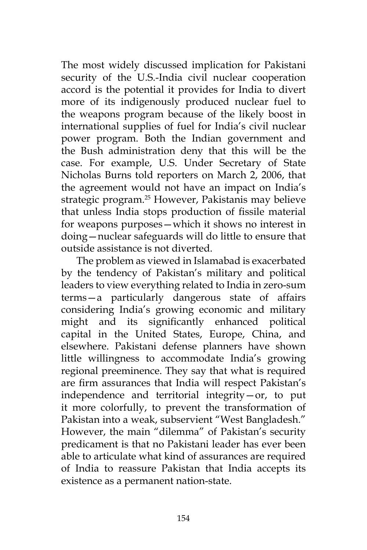The most widely discussed implication for Pakistani security of the U.S.-India civil nuclear cooperation accord is the potential it provides for India to divert more of its indigenously produced nuclear fuel to the weapons program because of the likely boost in international supplies of fuel for India's civil nuclear power program. Both the Indian government and the Bush administration deny that this will be the case. For example, U.S. Under Secretary of State Nicholas Burns told reporters on March 2, 2006, that the agreement would not have an impact on India's strategic program.25 However, Pakistanis may believe that unless India stops production of fissile material for weapons purposes—which it shows no interest in doing—nuclear safeguards will do little to ensure that outside assistance is not diverted.

The problem as viewed in Islamabad is exacerbated by the tendency of Pakistan's military and political leaders to view everything related to India in zero-sum terms—a particularly dangerous state of affairs considering India's growing economic and military might and its significantly enhanced political capital in the United States, Europe, China, and elsewhere. Pakistani defense planners have shown little willingness to accommodate India's growing regional preeminence. They say that what is required are firm assurances that India will respect Pakistan's independence and territorial integrity—or, to put it more colorfully, to prevent the transformation of Pakistan into a weak, subservient "West Bangladesh." However, the main "dilemma" of Pakistan's security predicament is that no Pakistani leader has ever been able to articulate what kind of assurances are required of India to reassure Pakistan that India accepts its existence as a permanent nation-state.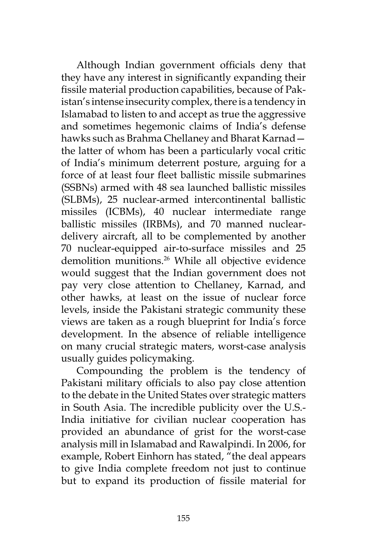Although Indian government officials deny that they have any interest in significantly expanding their fissile material production capabilities, because of Pakistan's intense insecurity complex, there is a tendency in Islamabad to listen to and accept as true the aggressive and sometimes hegemonic claims of India's defense hawks such as Brahma Chellaney and Bharat Karnad the latter of whom has been a particularly vocal critic of India's minimum deterrent posture, arguing for a force of at least four fleet ballistic missile submarines (SSBNs) armed with 48 sea launched ballistic missiles (SLBMs), 25 nuclear-armed intercontinental ballistic missiles (ICBMs), 40 nuclear intermediate range ballistic missiles (IRBMs), and 70 manned nucleardelivery aircraft, all to be complemented by another 70 nuclear-equipped air-to-surface missiles and 25 demolition munitions.<sup>26</sup> While all objective evidence would suggest that the Indian government does not pay very close attention to Chellaney, Karnad, and other hawks, at least on the issue of nuclear force levels, inside the Pakistani strategic community these views are taken as a rough blueprint for India's force development. In the absence of reliable intelligence on many crucial strategic maters, worst-case analysis usually guides policymaking.

Compounding the problem is the tendency of Pakistani military officials to also pay close attention to the debate in the United States over strategic matters in South Asia. The incredible publicity over the U.S.- India initiative for civilian nuclear cooperation has provided an abundance of grist for the worst-case analysis mill in Islamabad and Rawalpindi. In 2006, for example, Robert Einhorn has stated, "the deal appears to give India complete freedom not just to continue but to expand its production of fissile material for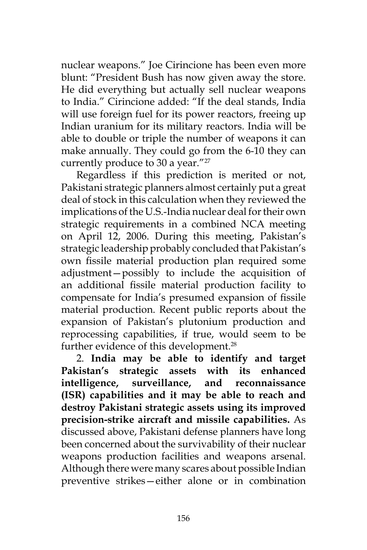nuclear weapons." Joe Cirincione has been even more blunt: "President Bush has now given away the store. He did everything but actually sell nuclear weapons to India." Cirincione added: "If the deal stands, India will use foreign fuel for its power reactors, freeing up Indian uranium for its military reactors. India will be able to double or triple the number of weapons it can make annually. They could go from the 6-10 they can currently produce to 30 a year."<sup>27</sup>

Regardless if this prediction is merited or not, Pakistani strategic planners almost certainly put a great deal of stock in this calculation when they reviewed the implications of the U.S.-India nuclear deal for their own strategic requirements in a combined NCA meeting on April 12, 2006. During this meeting, Pakistan's strategic leadership probably concluded that Pakistan's own fissile material production plan required some adjustment—possibly to include the acquisition of an additional fissile material production facility to compensate for India's presumed expansion of fissile material production. Recent public reports about the expansion of Pakistan's plutonium production and reprocessing capabilities, if true, would seem to be further evidence of this development.<sup>28</sup>

2. **India may be able to identify and target Pakistan's strategic assets with its enhanced intelligence, surveillance, and reconnaissance (ISR) capabilities and it may be able to reach and destroy Pakistani strategic assets using its improved precision-strike aircraft and missile capabilities.** As discussed above, Pakistani defense planners have long been concerned about the survivability of their nuclear weapons production facilities and weapons arsenal. Although there were many scares about possible Indian preventive strikes—either alone or in combination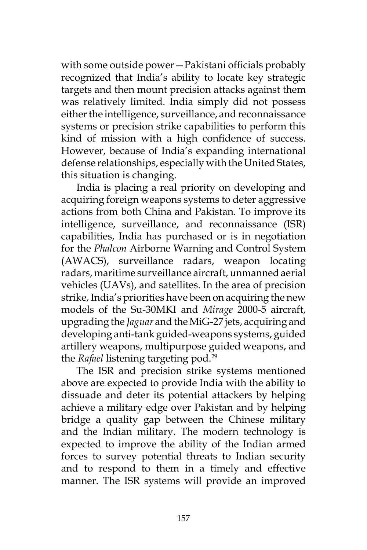with some outside power—Pakistani officials probably recognized that India's ability to locate key strategic targets and then mount precision attacks against them was relatively limited. India simply did not possess either the intelligence, surveillance, and reconnaissance systems or precision strike capabilities to perform this kind of mission with a high confidence of success. However, because of India's expanding international defense relationships, especially with the United States, this situation is changing.

India is placing a real priority on developing and acquiring foreign weapons systems to deter aggressive actions from both China and Pakistan. To improve its intelligence, surveillance, and reconnaissance (ISR) capabilities, India has purchased or is in negotiation for the *Phalcon* Airborne Warning and Control System (AWACS), surveillance radars, weapon locating radars, maritime surveillance aircraft, unmanned aerial vehicles (UAVs), and satellites. In the area of precision strike, India's priorities have been on acquiring the new models of the Su-30MKI and *Mirage* 2000-5 aircraft, upgrading the *Jaguar* and the MiG-27 jets, acquiring and developing anti-tank guided-weapons systems, guided artillery weapons, multipurpose guided weapons, and the *Rafael* listening targeting pod.29

The ISR and precision strike systems mentioned above are expected to provide India with the ability to dissuade and deter its potential attackers by helping achieve a military edge over Pakistan and by helping bridge a quality gap between the Chinese military and the Indian military. The modern technology is expected to improve the ability of the Indian armed forces to survey potential threats to Indian security and to respond to them in a timely and effective manner. The ISR systems will provide an improved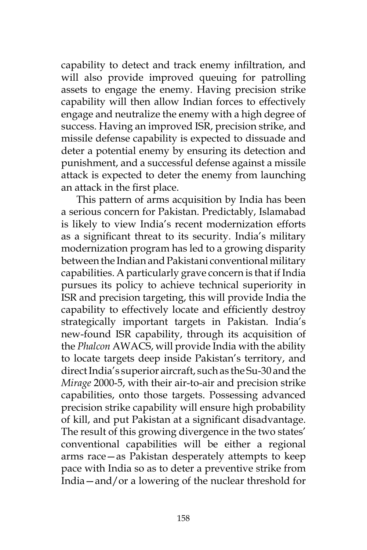capability to detect and track enemy infiltration, and will also provide improved queuing for patrolling assets to engage the enemy. Having precision strike capability will then allow Indian forces to effectively engage and neutralize the enemy with a high degree of success. Having an improved ISR, precision strike, and missile defense capability is expected to dissuade and deter a potential enemy by ensuring its detection and punishment, and a successful defense against a missile attack is expected to deter the enemy from launching an attack in the first place.

This pattern of arms acquisition by India has been a serious concern for Pakistan. Predictably, Islamabad is likely to view India's recent modernization efforts as a significant threat to its security. India's military modernization program has led to a growing disparity between the Indian and Pakistani conventional military capabilities. A particularly grave concern is that if India pursues its policy to achieve technical superiority in ISR and precision targeting, this will provide India the capability to effectively locate and efficiently destroy strategically important targets in Pakistan. India's new-found ISR capability, through its acquisition of the *Phalcon* AWACS, will provide India with the ability to locate targets deep inside Pakistan's territory, and direct India's superior aircraft, such as the Su-30 and the *Mirage* 2000-5, with their air-to-air and precision strike capabilities, onto those targets. Possessing advanced precision strike capability will ensure high probability of kill, and put Pakistan at a significant disadvantage. The result of this growing divergence in the two states' conventional capabilities will be either a regional arms race—as Pakistan desperately attempts to keep pace with India so as to deter a preventive strike from India—and/or a lowering of the nuclear threshold for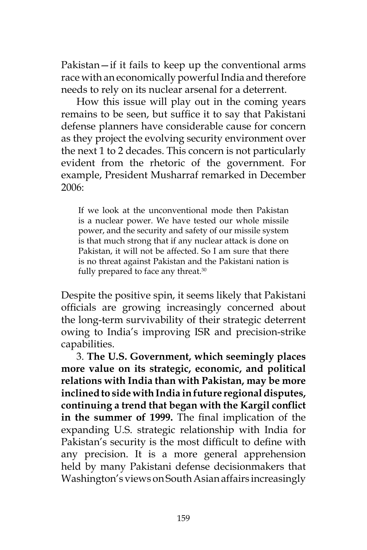Pakistan—if it fails to keep up the conventional arms race with an economically powerful India and therefore needs to rely on its nuclear arsenal for a deterrent.

How this issue will play out in the coming years remains to be seen, but suffice it to say that Pakistani defense planners have considerable cause for concern as they project the evolving security environment over the next 1 to 2 decades. This concern is not particularly evident from the rhetoric of the government. For example, President Musharraf remarked in December 2006:

If we look at the unconventional mode then Pakistan is a nuclear power. We have tested our whole missile power, and the security and safety of our missile system is that much strong that if any nuclear attack is done on Pakistan, it will not be affected. So I am sure that there is no threat against Pakistan and the Pakistani nation is fully prepared to face any threat.<sup>30</sup>

Despite the positive spin, it seems likely that Pakistani officials are growing increasingly concerned about the long-term survivability of their strategic deterrent owing to India's improving ISR and precision-strike capabilities.

3. **The U.S. Government, which seemingly places more value on its strategic, economic, and political relations with India than with Pakistan, may be more inclined to side with India in future regional disputes, continuing a trend that began with the Kargil conflict in the summer of 1999.** The final implication of the expanding U.S. strategic relationship with India for Pakistan's security is the most difficult to define with any precision. It is a more general apprehension held by many Pakistani defense decisionmakers that Washington's views on South Asian affairs increasingly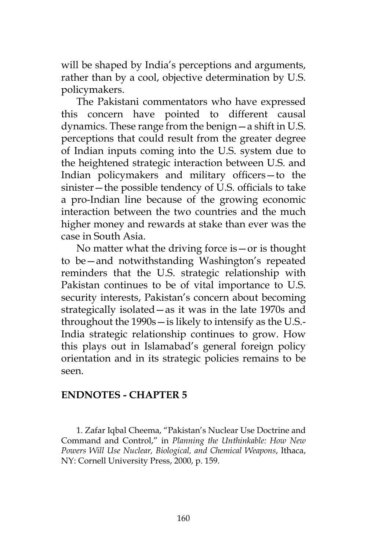will be shaped by India's perceptions and arguments, rather than by a cool, objective determination by U.S. policymakers.

The Pakistani commentators who have expressed this concern have pointed to different causal dynamics. These range from the benign—a shift in U.S. perceptions that could result from the greater degree of Indian inputs coming into the U.S. system due to the heightened strategic interaction between U.S. and Indian policymakers and military officers—to the sinister—the possible tendency of U.S. officials to take a pro-Indian line because of the growing economic interaction between the two countries and the much higher money and rewards at stake than ever was the case in South Asia.

No matter what the driving force is—or is thought to be—and notwithstanding Washington's repeated reminders that the U.S. strategic relationship with Pakistan continues to be of vital importance to U.S. security interests, Pakistan's concern about becoming strategically isolated—as it was in the late 1970s and throughout the 1990s—is likely to intensify as the U.S.- India strategic relationship continues to grow. How this plays out in Islamabad's general foreign policy orientation and in its strategic policies remains to be seen.

### **ENDNOTES - CHAPTER 5**

1. Zafar Iqbal Cheema, "Pakistan's Nuclear Use Doctrine and Command and Control," in *Planning the Unthinkable: How New Powers Will Use Nuclear, Biological, and Chemical Weapons*, Ithaca, NY: Cornell University Press, 2000, p. 159.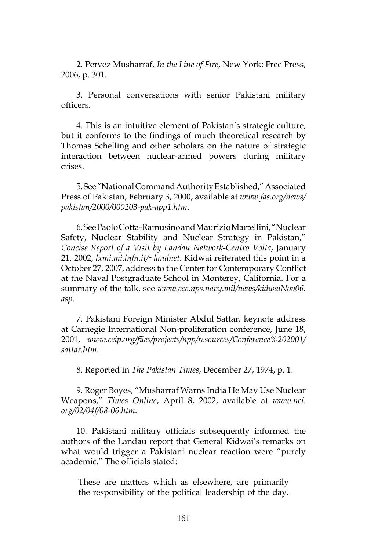2. Pervez Musharraf, *In the Line of Fire*, New York: Free Press, 2006, p. 301.

3. Personal conversations with senior Pakistani military officers.

4. This is an intuitive element of Pakistan's strategic culture, but it conforms to the findings of much theoretical research by Thomas Schelling and other scholars on the nature of strategic interaction between nuclear-armed powers during military crises.

5. See "National Command Authority Established," Associated Press of Pakistan, February 3, 2000, available at *www.fas.org/news/ pakistan/2000/000203-pak-app1.htm*.

6. See Paolo Cotta-Ramusino and Maurizio Martellini, "Nuclear Safety, Nuclear Stability and Nuclear Strategy in Pakistan," *Concise Report of a Visit by Landau Network-Centro Volta*, January 21, 2002, *lxmi.mi.infn.it/~landnet*. Kidwai reiterated this point in a October 27, 2007, address to the Center for Contemporary Conflict at the Naval Postgraduate School in Monterey, California. For a summary of the talk, see *www.ccc.nps.navy.mil/news/kidwaiNov06. asp*.

7. Pakistani Foreign Minister Abdul Sattar, keynote address at Carnegie International Non-proliferation conference, June 18, 2001, *www.ceip.org/files/projects/npp/resources/Conference%202001/ sattar.htm*.

8. Reported in *The Pakistan Times*, December 27, 1974, p. 1.

9. Roger Boyes, "Musharraf Warns India He May Use Nuclear Weapons," *Times Online*, April 8, 2002, available at *www.nci. org/02/04f/08-06.htm*.

10. Pakistani military officials subsequently informed the authors of the Landau report that General Kidwai's remarks on what would trigger a Pakistani nuclear reaction were "purely academic." The officials stated:

These are matters which as elsewhere, are primarily the responsibility of the political leadership of the day.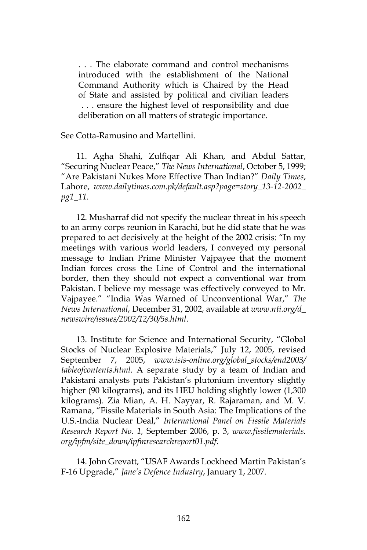. . . The elaborate command and control mechanisms introduced with the establishment of the National Command Authority which is Chaired by the Head of State and assisted by political and civilian leaders . . . ensure the highest level of responsibility and due deliberation on all matters of strategic importance.

See Cotta-Ramusino and Martellini.

11. Agha Shahi, Zulfiqar Ali Khan, and Abdul Sattar, "Securing Nuclear Peace," *The News International*, October 5, 1999; "Are Pakistani Nukes More Effective Than Indian?" *Daily Times*, Lahore, *www.dailytimes.com.pk/default.asp?page=story\_13-12-2002\_ pg1\_11*.

12. Musharraf did not specify the nuclear threat in his speech to an army corps reunion in Karachi, but he did state that he was prepared to act decisively at the height of the 2002 crisis: "In my meetings with various world leaders, I conveyed my personal message to Indian Prime Minister Vajpayee that the moment Indian forces cross the Line of Control and the international border, then they should not expect a conventional war from Pakistan. I believe my message was effectively conveyed to Mr. Vajpayee." "India Was Warned of Unconventional War," *The News International*, December 31, 2002, available at *www.nti.org/d\_ newswire/issues/2002/12/30/5s.html*.

13. Institute for Science and International Security, "Global Stocks of Nuclear Explosive Materials," July 12, 2005, revised September 7, 2005, *www.isis-online.org/global\_stocks/end2003/ tableofcontents.html*. A separate study by a team of Indian and Pakistani analysts puts Pakistan's plutonium inventory slightly higher (90 kilograms), and its HEU holding slightly lower (1,300 kilograms). Zia Mian, A. H. Nayyar, R. Rajaraman, and M. V. Ramana, "Fissile Materials in South Asia: The Implications of the U.S.-India Nuclear Deal," *International Panel on Fissile Materials Research Report No. 1,* September 2006, p. 3, *www.fissilematerials. org/ipfm/site\_down/ipfmresearchreport01.pdf*.

14. John Grevatt, "USAF Awards Lockheed Martin Pakistan's F-16 Upgrade," *Jane's Defence Industry*, January 1, 2007.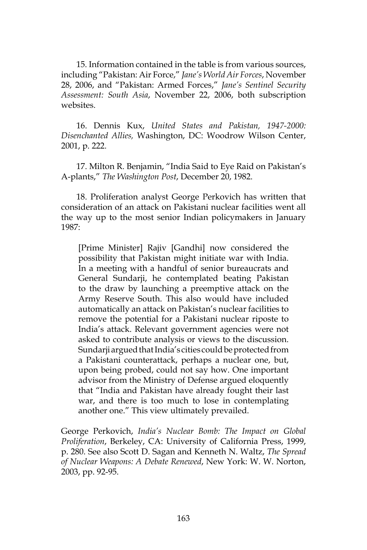15. Information contained in the table is from various sources, including "Pakistan: Air Force," *Jane's World Air Forces*, November 28, 2006, and "Pakistan: Armed Forces," *Jane's Sentinel Security Assessment: South Asia*, November 22, 2006, both subscription websites.

16. Dennis Kux, *United States and Pakistan, 1947-2000: Disenchanted Allies,* Washington, DC: Woodrow Wilson Center, 2001, p. 222.

17. Milton R. Benjamin, "India Said to Eye Raid on Pakistan's A-plants," *The Washington Post*, December 20, 1982.

18. Proliferation analyst George Perkovich has written that consideration of an attack on Pakistani nuclear facilities went all the way up to the most senior Indian policymakers in January 1987:

[Prime Minister] Rajiv [Gandhi] now considered the possibility that Pakistan might initiate war with India. In a meeting with a handful of senior bureaucrats and General Sundarji, he contemplated beating Pakistan to the draw by launching a preemptive attack on the Army Reserve South. This also would have included automatically an attack on Pakistan's nuclear facilities to remove the potential for a Pakistani nuclear riposte to India's attack. Relevant government agencies were not asked to contribute analysis or views to the discussion. Sundarji argued that India's cities could be protected from a Pakistani counterattack, perhaps a nuclear one, but, upon being probed, could not say how. One important advisor from the Ministry of Defense argued eloquently that "India and Pakistan have already fought their last war, and there is too much to lose in contemplating another one." This view ultimately prevailed.

George Perkovich, *India's Nuclear Bomb: The Impact on Global Proliferation*, Berkeley, CA: University of California Press, 1999, p. 280. See also Scott D. Sagan and Kenneth N. Waltz, *The Spread of Nuclear Weapons: A Debate Renewed*, New York: W. W. Norton, 2003, pp. 92-95.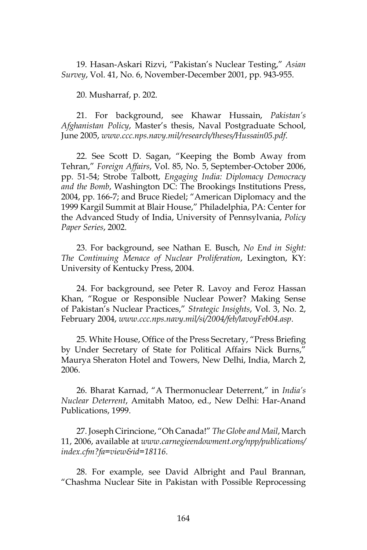19. Hasan-Askari Rizvi, "Pakistan's Nuclear Testing," *Asian Survey*, Vol. 41, No. 6, November-December 2001, pp. 943-955.

20. Musharraf, p. 202.

21. For background, see Khawar Hussain, *Pakistan's Afghanistan Policy*, Master's thesis, Naval Postgraduate School, June 2005, *www.ccc.nps.navy.mil/research/theses/Hussain05.pdf*.

22. See Scott D. Sagan, "Keeping the Bomb Away from Tehran," *Foreign Affairs*, Vol. 85, No. 5, September-October 2006, pp. 51-54; Strobe Talbott, *Engaging India: Diplomacy Democracy and the Bomb*, Washington DC: The Brookings Institutions Press, 2004, pp. 166-7; and Bruce Riedel; "American Diplomacy and the 1999 Kargil Summit at Blair House," Philadelphia, PA: Center for the Advanced Study of India, University of Pennsylvania, *Policy Paper Series*, 2002.

23. For background, see Nathan E. Busch, *No End in Sight: The Continuing Menace of Nuclear Proliferation*, Lexington, KY: University of Kentucky Press, 2004.

24. For background, see Peter R. Lavoy and Feroz Hassan Khan, "Rogue or Responsible Nuclear Power? Making Sense of Pakistan's Nuclear Practices," *Strategic Insights*, Vol. 3, No. 2, February 2004, *www.ccc.nps.navy.mil/si/2004/feb/lavoyFeb04.asp*.

25. White House, Office of the Press Secretary, "Press Briefing by Under Secretary of State for Political Affairs Nick Burns," Maurya Sheraton Hotel and Towers, New Delhi, India, March 2, 2006.

26. Bharat Karnad, "A Thermonuclear Deterrent," in *India's Nuclear Deterrent*, Amitabh Matoo, ed., New Delhi: Har-Anand Publications, 1999.

27. Joseph Cirincione, "Oh Canada!" *The Globe and Mail*, March 11, 2006, available at *www.carnegieendowment.org/npp/publications/ index.cfm?fa=view&id=18116*.

28. For example, see David Albright and Paul Brannan, "Chashma Nuclear Site in Pakistan with Possible Reprocessing